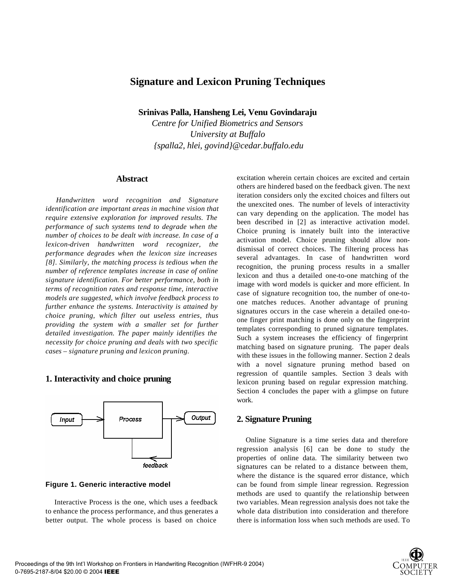# **Signature and Lexicon Pruning Techniques**

**Srinivas Palla, Hansheng Lei, Venu Govindaraju**

*Centre for Unified Biometrics and Sensors University at Buffalo {spalla2, hlei, govind}@cedar.buffalo.edu*

### **Abstract**

*Handwritten word recognition and Signature identification are important areas in machine vision that require extensive exploration for improved results. The performance of such systems tend to degrade when the number of choices to be dealt with increase. In case of a lexicon-driven handwritten word recognizer, the performance degrades when the lexicon size increases [8]. Similarly, the matching process is tedious when the number of reference templates increase in case of online signature identification. For better performance, both in terms of recognition rates and response time, interactive models are suggested, which involve feedback process to further enhance the systems. Interactivity is attained by choice pruning, which filter out useless entries, thus providing the system with a smaller set for further detailed investigation. The paper mainly identifies the necessity for choice pruning and deals with two specific cases – signature pruning and lexicon pruning.*

# **1. Interactivity and choice pruning**



### **Figure 1. Generic interactive model**

Interactive Process is the one, which uses a feedback to enhance the process performance, and thus generates a better output. The whole process is based on choice

excitation wherein certain choices are excited and certain others are hindered based on the feedback given. The next iteration considers only the excited choices and filters out the unexcited ones. The number of levels of interactivity can vary depending on the application. The model has been described in [2] as interactive activation model. Choice pruning is innately built into the interactive activation model. Choice pruning should allow nondismissal of correct choices. The filtering process has several advantages. In case of handwritten word recognition, the pruning process results in a smaller lexicon and thus a detailed one-to-one matching of the image with word models is quicker and more efficient. In case of signature recognition too, the number of one-toone matches reduces. Another advantage of pruning signatures occurs in the case wherein a detailed one-toone finger print matching is done only on the fingerprint templates corresponding to pruned signature templates. Such a system increases the efficiency of fingerprint matching based on signature pruning. The paper deals with these issues in the following manner. Section 2 deals with a novel signature pruning method based on regression of quantile samples. Section 3 deals with lexicon pruning based on regular expression matching. Section 4 concludes the paper with a glimpse on future work.

# **2. Signature Pruning**

Online Signature is a time series data and therefore regression analysis [6] can be done to study the properties of online data. The similarity between two signatures can be related to a distance between them, where the distance is the squared error distance, which can be found from simple linear regression. Regression methods are used to quantify the relationship between two variables. Mean regression analysis does not take the whole data distribution into consideration and therefore there is information loss when such methods are used. To

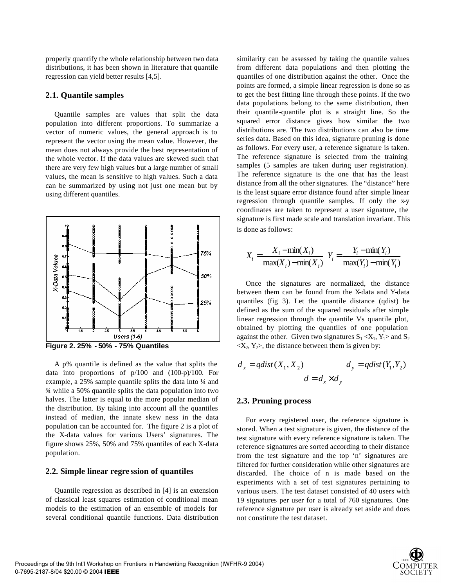properly quantify the whole relationship between two data distributions, it has been shown in literature that quantile regression can yield better results [4,5].

#### **2.1. Quantile samples**

Quantile samples are values that split the data population into different proportions. To summarize a vector of numeric values, the general approach is to represent the vector using the mean value. However, the mean does not always provide the best representation of the whole vector. If the data values are skewed such that there are very few high values but a large number of small values, the mean is sensitive to high values. Such a data can be summarized by using not just one mean but by using different quantiles.



**Figure 2. 25% - 50% - 75% Quantiles**

A p% quantile is defined as the value that splits the data into proportions of p/100 and (100-p)/100. For example, a 25% sample quantile splits the data into  $\frac{1}{4}$  and ¾ while a 50% quantile splits the data population into two halves. The latter is equal to the more popular median of the distribution. By taking into account all the quantiles instead of median, the innate skew ness in the data population can be accounted for. The figure 2 is a plot of the X-data values for various Users' signatures. The figure shows 25%, 50% and 75% quantiles of each X-data population.

#### **2.2. Simple linear regre ssion of quantiles**

Quantile regression as described in [4] is an extension of classical least squares estimation of conditional mean models to the estimation of an ensemble of models for several conditional quantile functions. Data distribution similarity can be assessed by taking the quantile values from different data populations and then plotting the quantiles of one distribution against the other. Once the points are formed, a simple linear regression is done so as to get the best fitting line through these points. If the two data populations belong to the same distribution, then their quantile-quantile plot is a straight line. So the squared error distance gives how similar the two distributions are. The two distributions can also be time series data. Based on this idea, signature pruning is done as follows. For every user, a reference signature is taken. The reference signature is selected from the training samples (5 samples are taken during user registration). The reference signature is the one that has the least distance from all the other signatures. The "distance" here is the least square error distance found after simple linear regression through quantile samples. If only the x-y coordinates are taken to represent a user signature, the signature is first made scale and translation invariant. This is done as follows:

$$
X_i = \frac{X_i - \min(X_i)}{\max(X_i) - \min(X_i)} Y_i = \frac{Y_i - \min(Y_i)}{\max(Y_i) - \min(Y_i)}
$$

Once the signatures are normalized, the distance between them can be found from the X-data and Y-data quantiles (fig 3). Let the quantile distance (qdist) be defined as the sum of the squared residuals after simple linear regression through the quantile Vs quantile plot, obtained by plotting the quantiles of one population against the other. Given two signatures  $S_1 < X_1$ ,  $Y_1 >$  and  $S_2$  $\langle X_2, Y_2 \rangle$ , the distance between them is given by:

$$
d_x = qdist(X_1, X_2)
$$
  

$$
d = d_x \times d_y
$$
  

$$
d = d_x \times d_y
$$

#### **2.3. Pruning process**

For every registered user, the reference signature is stored. When a test signature is given, the distance of the test signature with every reference signature is taken. The reference signatures are sorted according to their distance from the test signature and the top 'n' signatures are filtered for further consideration while other signatures are discarded. The choice of n is made based on the experiments with a set of test signatures pertaining to various users. The test dataset consisted of 40 users with 19 signatures per user for a total of 760 signatures. One reference signature per user is already set aside and does not constitute the test dataset.

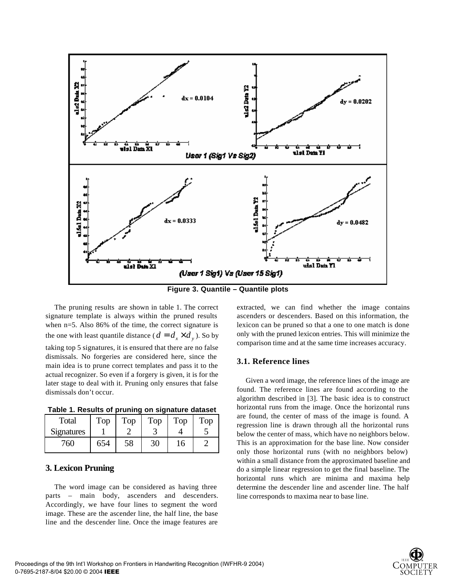

**Figure 3. Quantile – Quantile plots**

The pruning results are shown in table 1. The correct signature template is always within the pruned results when n=5. Also 86% of the time, the correct signature is the one with least quantile distance ( $d = d_x \times d_y$ ). So by

taking top 5 signatures, it is ensured that there are no false dismissals. No forgeries are considered here, since the main idea is to prune correct templates and pass it to the actual recognizer. So even if a forgery is given, it is for the later stage to deal with it. Pruning only ensures that false dismissals don't occur.

**Table 1. Results of pruning on signature dataset**

| Total             | Top | Top | Top | Top | Top |
|-------------------|-----|-----|-----|-----|-----|
| <b>Signatures</b> |     |     |     |     |     |
| 760               | 654 | 58  | 30  | 16  |     |

### **3. Lexicon Pruning**

The word image can be considered as having three parts – main body, ascenders and descenders. Accordingly, we have four lines to segment the word image. These are the ascender line, the half line, the base line and the descender line. Once the image features are

extracted, we can find whether the image contains ascenders or descenders. Based on this information, the lexicon can be pruned so that a one to one match is done only with the pruned lexicon entries. This will minimize the comparison time and at the same time increases accuracy.

### **3.1. Reference lines**

Given a word image, the reference lines of the image are found. The reference lines are found according to the algorithm described in [3]. The basic idea is to construct horizontal runs from the image. Once the horizontal runs are found, the center of mass of the image is found. A regression line is drawn through all the horizontal runs below the center of mass, which have no neighbors below. This is an approximation for the base line. Now consider only those horizontal runs (with no neighbors below) within a small distance from the approximated baseline and do a simple linear regression to get the final baseline. The horizontal runs which are minima and maxima help determine the descender line and ascender line. The half line corresponds to maxima near to base line.

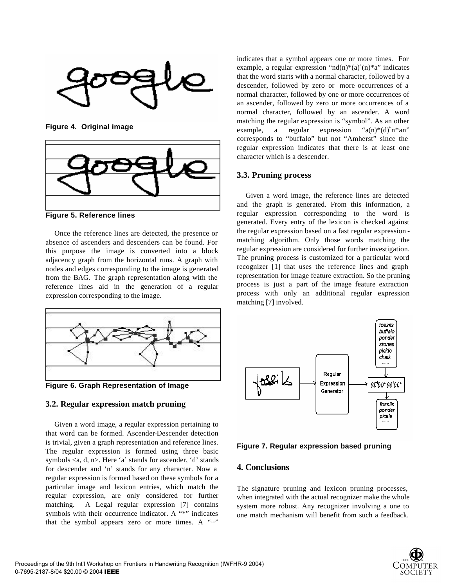

**Figure 4. Original image**



**Figure 5. Reference lines**

Once the reference lines are detected, the presence or absence of ascenders and descenders can be found. For this purpose the image is converted into a block adjacency graph from the horizontal runs. A graph with nodes and edges corresponding to the image is generated from the BAG. The graph representation along with the reference lines aid in the generation of a regular expression corresponding to the image.



**Figure 6. Graph Representation of Image**

# **3.2. Regular expression match pruning**

Given a word image, a regular expression pertaining to that word can be formed. Ascender-Descender detection is trivial, given a graph representation and reference lines. The regular expression is formed using three basic symbols <a, d, n>. Here 'a' stands for ascender, 'd' stands for descender and 'n' stands for any character. Now a regular expression is formed based on these symbols for a particular image and lexicon entries, which match the regular expression, are only considered for further matching. A Legal regular expression [7] contains symbols with their occurrence indicator. A "\*" indicates that the symbol appears zero or more times. A "+" indicates that a symbol appears one or more times. For example, a regular expression " $nd(n)*(a)*(n)*a"$  indicates that the word starts with a normal character, followed by a descender, followed by zero or more occurrences of a normal character, followed by one or more occurrences of an ascender, followed by zero or more occurrences of a normal character, followed by an ascender. A word matching the regular expression is "symbol". As an other example, a regular expression " $a(n)$ \* $(d)$ <sup>+</sup> $n$ \*an" corresponds to "buffalo" but not "Amherst" since the regular expression indicates that there is at least one character which is a descender.

# **3.3. Pruning process**

Given a word image, the reference lines are detected and the graph is generated. From this information, a regular expression corresponding to the word is generated. Every entry of the lexicon is checked against the regular expression based on a fast regular expression matching algorithm. Only those words matching the regular expression are considered for further investigation. The pruning process is customized for a particular word recognizer [1] that uses the reference lines and graph representation for image feature extraction. So the pruning process is just a part of the image feature extraction process with only an additional regular expression matching [7] involved.



**Figure 7. Regular expression based pruning**

# **4. Conclusions**

The signature pruning and lexicon pruning processes, when integrated with the actual recognizer make the whole system more robust. Any recognizer involving a one to one match mechanism will benefit from such a feedback.